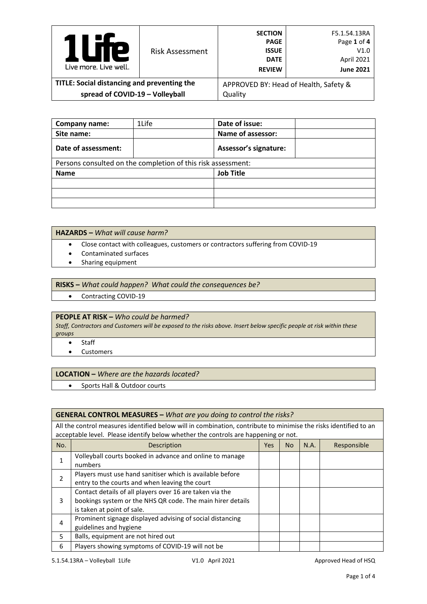| Р<br>Live more, Live well.                  | <b>Risk Assessment</b> | <b>SECTION</b><br><b>PAGE</b><br><b>ISSUE</b><br><b>DATE</b><br><b>REVIEW</b> | F5.1.54.13RA<br>Page 1 of 4<br>V1.0<br>April 2021<br><b>June 2021</b> |
|---------------------------------------------|------------------------|-------------------------------------------------------------------------------|-----------------------------------------------------------------------|
| TITLE: Social distancing and preventing the |                        |                                                                               | APPROVED BY: Head of Health, Safety &                                 |
| spread of COVID-19 - Volleyball             |                        | Quality                                                                       |                                                                       |

| Company name:                                                | 1Life | Date of issue:               |  |  |  |
|--------------------------------------------------------------|-------|------------------------------|--|--|--|
| Site name:                                                   |       | Name of assessor:            |  |  |  |
| Date of assessment:                                          |       | <b>Assessor's signature:</b> |  |  |  |
| Persons consulted on the completion of this risk assessment: |       |                              |  |  |  |
| <b>Name</b>                                                  |       | <b>Job Title</b>             |  |  |  |
|                                                              |       |                              |  |  |  |
|                                                              |       |                              |  |  |  |
|                                                              |       |                              |  |  |  |

## **HAZARDS –** *What will cause harm?*

- Close contact with colleagues, customers or contractors suffering from COVID-19
- Contaminated surfaces
- Sharing equipment

### **RISKS –** *What could happen? What could the consequences be?*

• Contracting COVID-19

## **PEOPLE AT RISK –** *Who could be harmed?*

*Staff, Contractors and Customers will be exposed to the risks above. Insert below specific people at risk within these groups*

- Staff
- Customers

#### **LOCATION –** *Where are the hazards located?*

• Sports Hall & Outdoor courts

#### **GENERAL CONTROL MEASURES –** *What are you doing to control the risks?*

All the control measures identified below will in combination, contribute to minimise the risks identified to an acceptable level. Please identify below whether the controls are happening or not.

| No. | Description                                                | <b>Yes</b> | N <sub>o</sub> | N.A. | Responsible |
|-----|------------------------------------------------------------|------------|----------------|------|-------------|
|     | Volleyball courts booked in advance and online to manage   |            |                |      |             |
|     | numbers                                                    |            |                |      |             |
|     | Players must use hand sanitiser which is available before  |            |                |      |             |
|     | entry to the courts and when leaving the court             |            |                |      |             |
|     | Contact details of all players over 16 are taken via the   |            |                |      |             |
| 3   | bookings system or the NHS QR code. The main hirer details |            |                |      |             |
|     | is taken at point of sale.                                 |            |                |      |             |
|     | Prominent signage displayed advising of social distancing  |            |                |      |             |
| 4   | guidelines and hygiene                                     |            |                |      |             |
| 5   | Balls, equipment are not hired out                         |            |                |      |             |
| 6   | Players showing symptoms of COVID-19 will not be           |            |                |      |             |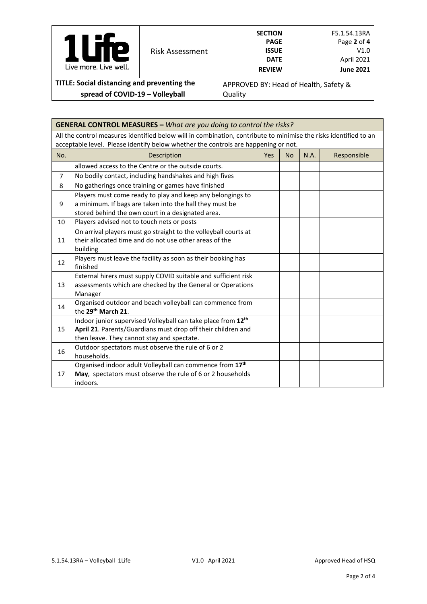| <b>P</b><br>$\mathcal{L}$<br>Live more Live well. | <b>Risk Assessment</b> | <b>SECTION</b><br><b>PAGE</b><br><b>ISSUE</b><br><b>DATE</b><br><b>REVIEW</b> | F5.1.54.13RA<br>Page 2 of 4<br>V1.0<br>April 2021<br><b>June 2021</b> |
|---------------------------------------------------|------------------------|-------------------------------------------------------------------------------|-----------------------------------------------------------------------|
| TITLE: Social distancing and preventing the       |                        | APPROVED BY: Head of Health, Safety &                                         |                                                                       |
| spread of COVID-19 - Volleyball                   |                        | Quality                                                                       |                                                                       |

| <b>GENERAL CONTROL MEASURES - What are you doing to control the risks?</b> |                                                                                                                                                                                                        |            |                |      |             |  |  |
|----------------------------------------------------------------------------|--------------------------------------------------------------------------------------------------------------------------------------------------------------------------------------------------------|------------|----------------|------|-------------|--|--|
|                                                                            | All the control measures identified below will in combination, contribute to minimise the risks identified to an<br>acceptable level. Please identify below whether the controls are happening or not. |            |                |      |             |  |  |
| No.                                                                        | Description                                                                                                                                                                                            | <b>Yes</b> | N <sub>o</sub> | N.A. | Responsible |  |  |
|                                                                            | allowed access to the Centre or the outside courts.                                                                                                                                                    |            |                |      |             |  |  |
| $\overline{7}$                                                             | No bodily contact, including handshakes and high fives                                                                                                                                                 |            |                |      |             |  |  |
| 8                                                                          | No gatherings once training or games have finished                                                                                                                                                     |            |                |      |             |  |  |
| 9                                                                          | Players must come ready to play and keep any belongings to<br>a minimum. If bags are taken into the hall they must be<br>stored behind the own court in a designated area.                             |            |                |      |             |  |  |
| 10                                                                         | Players advised not to touch nets or posts                                                                                                                                                             |            |                |      |             |  |  |
| 11                                                                         | On arrival players must go straight to the volleyball courts at<br>their allocated time and do not use other areas of the<br>building                                                                  |            |                |      |             |  |  |
| 12                                                                         | Players must leave the facility as soon as their booking has<br>finished                                                                                                                               |            |                |      |             |  |  |
| 13                                                                         | External hirers must supply COVID suitable and sufficient risk<br>assessments which are checked by the General or Operations<br>Manager                                                                |            |                |      |             |  |  |
| 14                                                                         | Organised outdoor and beach volleyball can commence from<br>the 29 <sup>th</sup> March 21.                                                                                                             |            |                |      |             |  |  |
| 15                                                                         | Indoor junior supervised Volleyball can take place from 12 <sup>th</sup><br>April 21. Parents/Guardians must drop off their children and<br>then leave. They cannot stay and spectate.                 |            |                |      |             |  |  |
| 16                                                                         | Outdoor spectators must observe the rule of 6 or 2<br>households.                                                                                                                                      |            |                |      |             |  |  |
| 17                                                                         | Organised indoor adult Volleyball can commence from 17 <sup>th</sup><br>May, spectators must observe the rule of 6 or 2 households<br>indoors.                                                         |            |                |      |             |  |  |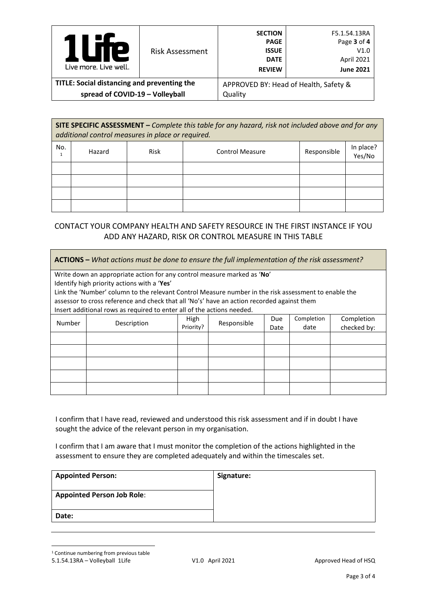| Р<br>Live more, Live well.                  | <b>Risk Assessment</b> | <b>SECTION</b><br><b>PAGE</b><br><b>ISSUE</b><br><b>DATE</b><br><b>REVIEW</b> | F5.1.54.13RA<br>Page 3 of 4<br>V1.0<br>April 2021<br><b>June 2021</b> |
|---------------------------------------------|------------------------|-------------------------------------------------------------------------------|-----------------------------------------------------------------------|
| TITLE: Social distancing and preventing the |                        | APPROVED BY: Head of Health, Safety &                                         |                                                                       |
| spread of COVID-19 - Volleyball             |                        | Quality                                                                       |                                                                       |

**SITE SPECIFIC ASSESSMENT –** *Complete this table for any hazard, risk not included above and for any additional control measures in place or required.*

| No. | Hazard | Risk | <b>Control Measure</b> | Responsible | In place?<br>Yes/No |
|-----|--------|------|------------------------|-------------|---------------------|
|     |        |      |                        |             |                     |
|     |        |      |                        |             |                     |
|     |        |      |                        |             |                     |
|     |        |      |                        |             |                     |

# CONTACT YOUR COMPANY HEALTH AND SAFETY RESOURCE IN THE FIRST INSTANCE IF YOU ADD ANY HAZARD, RISK OR CONTROL MEASURE IN THIS TABLE

| <b>ACTIONS</b> – What actions must be done to ensure the full implementation of the risk assessment? |                                                                                                      |           |             |      |            |             |
|------------------------------------------------------------------------------------------------------|------------------------------------------------------------------------------------------------------|-----------|-------------|------|------------|-------------|
|                                                                                                      | Write down an appropriate action for any control measure marked as 'No'                              |           |             |      |            |             |
|                                                                                                      | Identify high priority actions with a 'Yes'                                                          |           |             |      |            |             |
|                                                                                                      | Link the 'Number' column to the relevant Control Measure number in the risk assessment to enable the |           |             |      |            |             |
|                                                                                                      | assessor to cross reference and check that all 'No's' have an action recorded against them           |           |             |      |            |             |
|                                                                                                      | Insert additional rows as required to enter all of the actions needed.                               |           |             |      |            |             |
| Number                                                                                               | Description                                                                                          | High      | Responsible | Due  | Completion | Completion  |
|                                                                                                      |                                                                                                      | Priority? |             | Date | date       | checked by: |
|                                                                                                      |                                                                                                      |           |             |      |            |             |
|                                                                                                      |                                                                                                      |           |             |      |            |             |
|                                                                                                      |                                                                                                      |           |             |      |            |             |
|                                                                                                      |                                                                                                      |           |             |      |            |             |
|                                                                                                      |                                                                                                      |           |             |      |            |             |

I confirm that I have read, reviewed and understood this risk assessment and if in doubt I have sought the advice of the relevant person in my organisation.

I confirm that I am aware that I must monitor the completion of the actions highlighted in the assessment to ensure they are completed adequately and within the timescales set.

<span id="page-2-0"></span>

| <b>Appointed Person:</b>          | Signature: |
|-----------------------------------|------------|
| <b>Appointed Person Job Role:</b> |            |
| Date:                             |            |